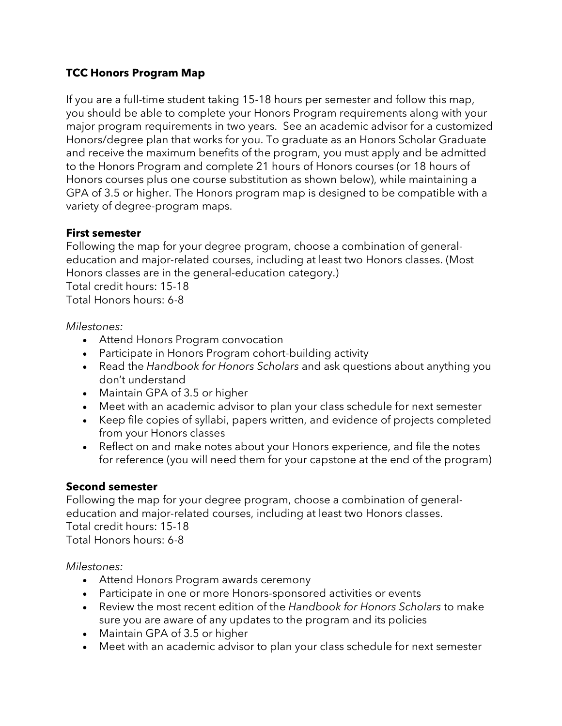# **TCC Honors Program Map**

If you are a full-time student taking 15-18 hours per semester and follow this map, you should be able to complete your Honors Program requirements along with your major program requirements in two years. See an academic advisor for a customized Honors/degree plan that works for you. To graduate as an Honors Scholar Graduate and receive the maximum benefits of the program, you must apply and be admitted to the Honors Program and complete 21 hours of Honors courses (or 18 hours of Honors courses plus one course substitution as shown below), while maintaining a GPA of 3.5 or higher. The Honors program map is designed to be compatible with a variety of degree-program maps.

### **First semester**

Following the map for your degree program, choose a combination of generaleducation and major-related courses, including at least two Honors classes. (Most Honors classes are in the general-education category.)

Total credit hours: 15-18

Total Honors hours: 6-8

### *Milestones:*

- Attend Honors Program convocation
- Participate in Honors Program cohort-building activity
- Read the *Handbook for Honors Scholars* and ask questions about anything you don't understand
- Maintain GPA of 3.5 or higher
- Meet with an academic advisor to plan your class schedule for next semester
- Keep file copies of syllabi, papers written, and evidence of projects completed from your Honors classes
- Reflect on and make notes about your Honors experience, and file the notes for reference (you will need them for your capstone at the end of the program)

### **Second semester**

Following the map for your degree program, choose a combination of generaleducation and major-related courses, including at least two Honors classes. Total credit hours: 15-18 Total Honors hours: 6-8

### *Milestones:*

- Attend Honors Program awards ceremony
- Participate in one or more Honors-sponsored activities or events
- Review the most recent edition of the *Handbook for Honors Scholars* to make sure you are aware of any updates to the program and its policies
- Maintain GPA of 3.5 or higher
- Meet with an academic advisor to plan your class schedule for next semester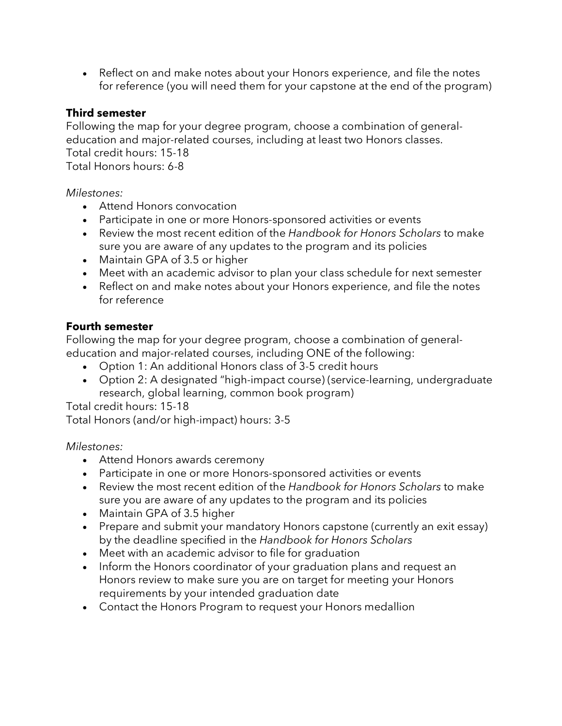• Reflect on and make notes about your Honors experience, and file the notes for reference (you will need them for your capstone at the end of the program)

## **Third semester**

Following the map for your degree program, choose a combination of generaleducation and major-related courses, including at least two Honors classes. Total credit hours: 15-18 Total Honors hours: 6-8

### *Milestones:*

- Attend Honors convocation
- Participate in one or more Honors-sponsored activities or events
- Review the most recent edition of the *Handbook for Honors Scholars* to make sure you are aware of any updates to the program and its policies
- Maintain GPA of 3.5 or higher
- Meet with an academic advisor to plan your class schedule for next semester
- Reflect on and make notes about your Honors experience, and file the notes for reference

## **Fourth semester**

Following the map for your degree program, choose a combination of generaleducation and major-related courses, including ONE of the following:

- Option 1: An additional Honors class of 3-5 credit hours
- Option 2: A designated "high-impact course) (service-learning, undergraduate research, global learning, common book program)

Total credit hours: 15-18

Total Honors (and/or high-impact) hours: 3-5

### *Milestones:*

- Attend Honors awards ceremony
- Participate in one or more Honors-sponsored activities or events
- Review the most recent edition of the *Handbook for Honors Scholars* to make sure you are aware of any updates to the program and its policies
- Maintain GPA of 3.5 higher
- Prepare and submit your mandatory Honors capstone (currently an exit essay) by the deadline specified in the *Handbook for Honors Scholars*
- Meet with an academic advisor to file for graduation
- Inform the Honors coordinator of your graduation plans and request an Honors review to make sure you are on target for meeting your Honors requirements by your intended graduation date
- Contact the Honors Program to request your Honors medallion